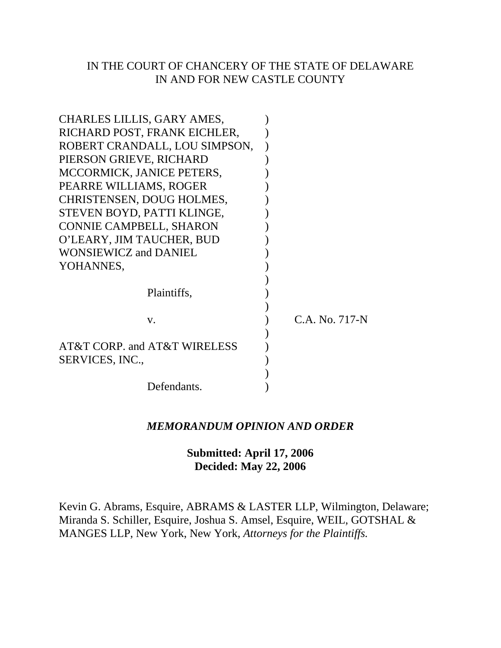## IN THE COURT OF CHANCERY OF THE STATE OF DELAWARE IN AND FOR NEW CASTLE COUNTY

| CHARLES LILLIS, GARY AMES,     |                |
|--------------------------------|----------------|
| RICHARD POST, FRANK EICHLER,   |                |
| ROBERT CRANDALL, LOU SIMPSON,  |                |
| PIERSON GRIEVE, RICHARD        |                |
| MCCORMICK, JANICE PETERS,      |                |
| PEARRE WILLIAMS, ROGER         |                |
| CHRISTENSEN, DOUG HOLMES,      |                |
| STEVEN BOYD, PATTI KLINGE,     |                |
| <b>CONNIE CAMPBELL, SHARON</b> |                |
| O'LEARY, JIM TAUCHER, BUD      |                |
| <b>WONSIEWICZ and DANIEL</b>   |                |
| YOHANNES,                      |                |
|                                |                |
| Plaintiffs,                    |                |
|                                |                |
| V.                             | C.A. No. 717-N |
|                                |                |
| AT&T CORP. and AT&T WIRELESS   |                |
| SERVICES, INC.,                |                |
|                                |                |
| Defendants.                    |                |

## *MEMORANDUM OPINION AND ORDER*

# **Submitted: April 17, 2006 Decided: May 22, 2006**

Kevin G. Abrams, Esquire, ABRAMS & LASTER LLP, Wilmington, Delaware; Miranda S. Schiller, Esquire, Joshua S. Amsel, Esquire, WEIL, GOTSHAL & MANGES LLP, New York, New York, *Attorneys for the Plaintiffs.*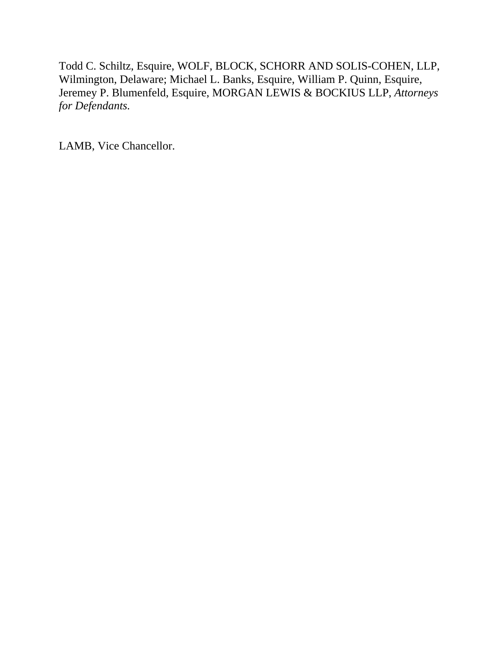Todd C. Schiltz, Esquire, WOLF, BLOCK, SCHORR AND SOLIS-COHEN, LLP, Wilmington, Delaware; Michael L. Banks, Esquire, William P. Quinn, Esquire, Jeremey P. Blumenfeld, Esquire, MORGAN LEWIS & BOCKIUS LLP, *Attorneys for Defendants.*

LAMB, Vice Chancellor.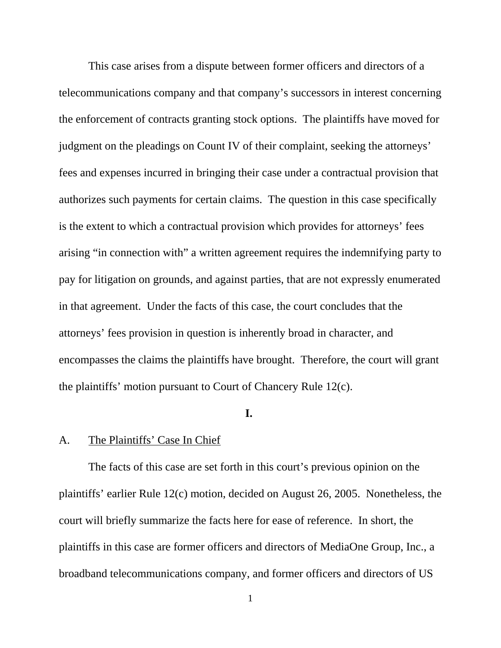This case arises from a dispute between former officers and directors of a telecommunications company and that company's successors in interest concerning the enforcement of contracts granting stock options. The plaintiffs have moved for judgment on the pleadings on Count IV of their complaint, seeking the attorneys' fees and expenses incurred in bringing their case under a contractual provision that authorizes such payments for certain claims. The question in this case specifically is the extent to which a contractual provision which provides for attorneys' fees arising "in connection with" a written agreement requires the indemnifying party to pay for litigation on grounds, and against parties, that are not expressly enumerated in that agreement. Under the facts of this case, the court concludes that the attorneys' fees provision in question is inherently broad in character, and encompasses the claims the plaintiffs have brought. Therefore, the court will grant the plaintiffs' motion pursuant to Court of Chancery Rule 12(c).

## **I.**

## A. The Plaintiffs' Case In Chief

The facts of this case are set forth in this court's previous opinion on the plaintiffs' earlier Rule 12(c) motion, decided on August 26, 2005. Nonetheless, the court will briefly summarize the facts here for ease of reference. In short, the plaintiffs in this case are former officers and directors of MediaOne Group, Inc., a broadband telecommunications company, and former officers and directors of US

1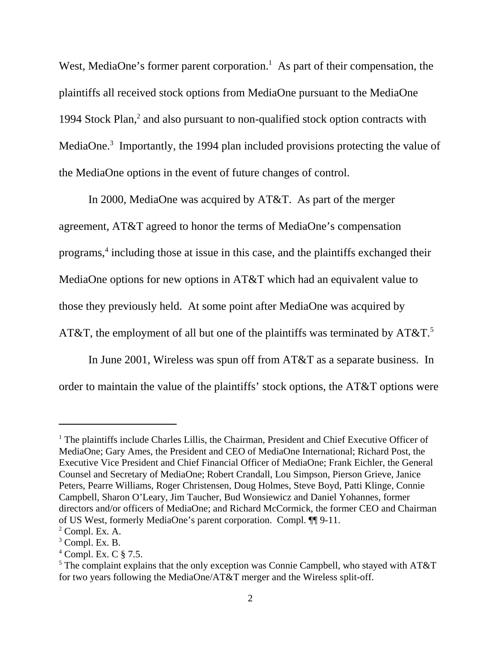West, MediaOne's former parent corporation.<sup>1</sup> As part of their compensation, the plaintiffs all received stock options from MediaOne pursuant to the MediaOne 1994 Stock Plan,<sup>2</sup> and also pursuant to non-qualified stock option contracts with MediaOne. $3$  Importantly, the 1994 plan included provisions protecting the value of the MediaOne options in the event of future changes of control.

In 2000, MediaOne was acquired by AT&T. As part of the merger agreement, AT&T agreed to honor the terms of MediaOne's compensation programs,<sup>4</sup> including those at issue in this case, and the plaintiffs exchanged their MediaOne options for new options in AT&T which had an equivalent value to those they previously held. At some point after MediaOne was acquired by AT&T, the employment of all but one of the plaintiffs was terminated by  $AT&T$ .<sup>5</sup>

In June 2001, Wireless was spun off from AT&T as a separate business. In order to maintain the value of the plaintiffs' stock options, the AT&T options were

<sup>&</sup>lt;sup>1</sup> The plaintiffs include Charles Lillis, the Chairman, President and Chief Executive Officer of MediaOne; Gary Ames, the President and CEO of MediaOne International; Richard Post, the Executive Vice President and Chief Financial Officer of MediaOne; Frank Eichler, the General Counsel and Secretary of MediaOne; Robert Crandall, Lou Simpson, Pierson Grieve, Janice Peters, Pearre Williams, Roger Christensen, Doug Holmes, Steve Boyd, Patti Klinge, Connie Campbell, Sharon O'Leary, Jim Taucher, Bud Wonsiewicz and Daniel Yohannes, former directors and/or officers of MediaOne; and Richard McCormick, the former CEO and Chairman of US West, formerly MediaOne's parent corporation. Compl. ¶¶ 9-11.

 $2$  Compl. Ex. A.

 $3$  Compl. Ex. B.

<sup>4</sup> Compl. Ex. C § 7.5.

 $<sup>5</sup>$  The complaint explains that the only exception was Connie Campbell, who stayed with AT&T</sup> for two years following the MediaOne/AT&T merger and the Wireless split-off.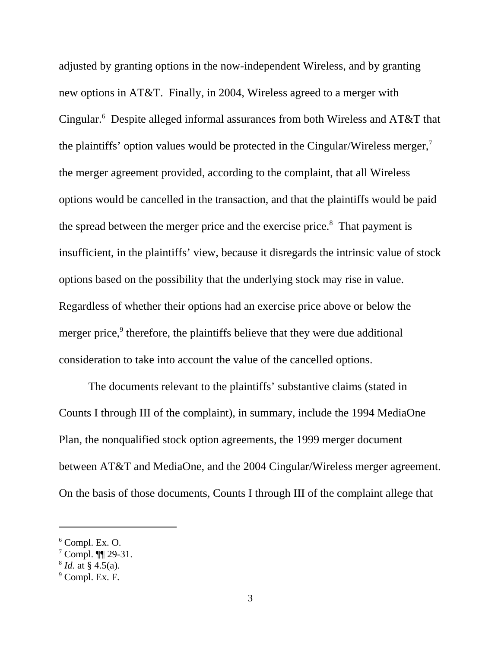adjusted by granting options in the now-independent Wireless, and by granting new options in AT&T. Finally, in 2004, Wireless agreed to a merger with Cingular.<sup>6</sup> Despite alleged informal assurances from both Wireless and AT&T that the plaintiffs' option values would be protected in the Cingular/Wireless merger,<sup>7</sup> the merger agreement provided, according to the complaint, that all Wireless options would be cancelled in the transaction, and that the plaintiffs would be paid the spread between the merger price and the exercise price. $8$  That payment is insufficient, in the plaintiffs' view, because it disregards the intrinsic value of stock options based on the possibility that the underlying stock may rise in value. Regardless of whether their options had an exercise price above or below the merger price,<sup>9</sup> therefore, the plaintiffs believe that they were due additional consideration to take into account the value of the cancelled options.

The documents relevant to the plaintiffs' substantive claims (stated in Counts I through III of the complaint), in summary, include the 1994 MediaOne Plan, the nonqualified stock option agreements, the 1999 merger document between AT&T and MediaOne, and the 2004 Cingular/Wireless merger agreement. On the basis of those documents, Counts I through III of the complaint allege that

 $6$  Compl. Ex. O.

 $7$  Compl.  $\P$  29-31.

<sup>8</sup> *Id.* at § 4.5(a)*.*

<sup>&</sup>lt;sup>9</sup> Compl. Ex. F.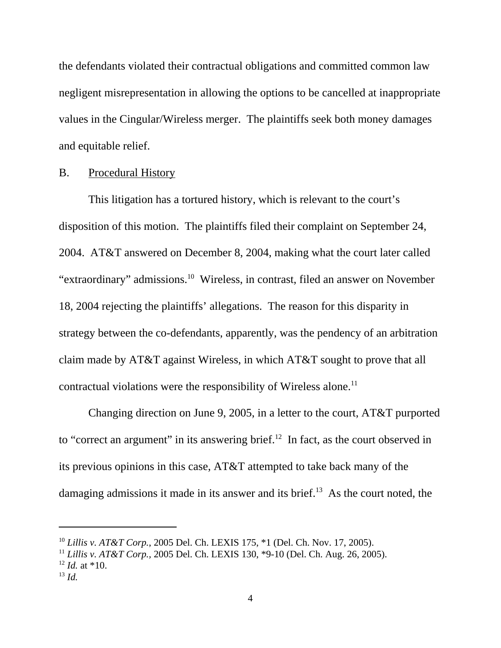the defendants violated their contractual obligations and committed common law negligent misrepresentation in allowing the options to be cancelled at inappropriate values in the Cingular/Wireless merger. The plaintiffs seek both money damages and equitable relief.

## B. Procedural History

This litigation has a tortured history, which is relevant to the court's disposition of this motion. The plaintiffs filed their complaint on September 24, 2004. AT&T answered on December 8, 2004, making what the court later called "extraordinary" admissions.<sup>10</sup> Wireless, in contrast, filed an answer on November 18, 2004 rejecting the plaintiffs' allegations. The reason for this disparity in strategy between the co-defendants, apparently, was the pendency of an arbitration claim made by AT&T against Wireless, in which AT&T sought to prove that all contractual violations were the responsibility of Wireless alone.<sup>11</sup>

Changing direction on June 9, 2005, in a letter to the court, AT&T purported to "correct an argument" in its answering brief.<sup>12</sup> In fact, as the court observed in its previous opinions in this case, AT&T attempted to take back many of the damaging admissions it made in its answer and its brief. $13$  As the court noted, the

<sup>10</sup> *Lillis v. AT&T Corp.*, 2005 Del. Ch. LEXIS 175, \*1 (Del. Ch. Nov. 17, 2005).

<sup>11</sup> *Lillis v. AT&T Corp.,* 2005 Del. Ch. LEXIS 130, \*9-10 (Del. Ch. Aug. 26, 2005).  $12$  *Id.* at \*10.

<sup>13</sup> *Id.*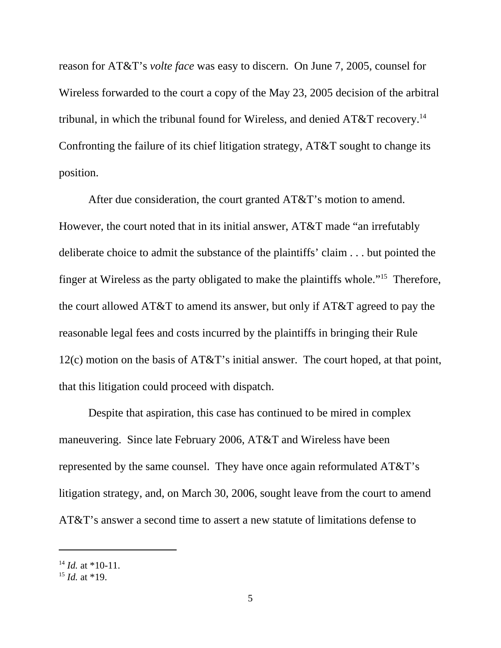reason for AT&T's *volte face* was easy to discern. On June 7, 2005, counsel for Wireless forwarded to the court a copy of the May 23, 2005 decision of the arbitral tribunal, in which the tribunal found for Wireless, and denied  $AT&T$  recovery.<sup>14</sup> Confronting the failure of its chief litigation strategy, AT&T sought to change its position.

After due consideration, the court granted AT&T's motion to amend. However, the court noted that in its initial answer, AT&T made "an irrefutably deliberate choice to admit the substance of the plaintiffs' claim . . . but pointed the finger at Wireless as the party obligated to make the plaintiffs whole."15 Therefore, the court allowed AT&T to amend its answer, but only if AT&T agreed to pay the reasonable legal fees and costs incurred by the plaintiffs in bringing their Rule 12(c) motion on the basis of AT&T's initial answer. The court hoped, at that point, that this litigation could proceed with dispatch.

Despite that aspiration, this case has continued to be mired in complex maneuvering. Since late February 2006, AT&T and Wireless have been represented by the same counsel. They have once again reformulated AT&T's litigation strategy, and, on March 30, 2006, sought leave from the court to amend AT&T's answer a second time to assert a new statute of limitations defense to

 $14$  *Id.* at \*10-11.

<sup>15</sup> *Id.* at \*19.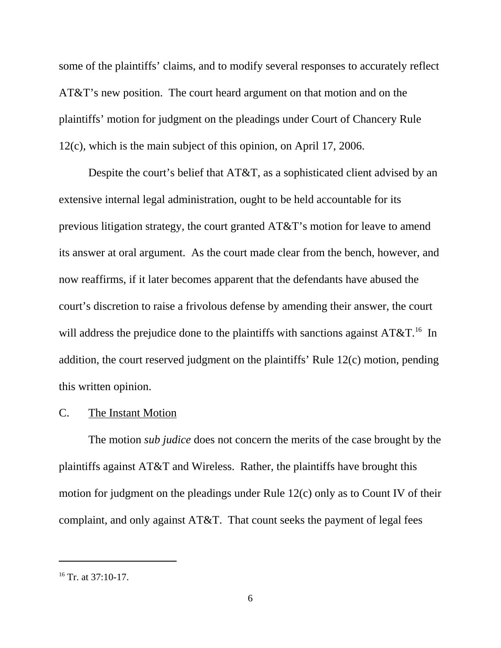some of the plaintiffs' claims, and to modify several responses to accurately reflect AT&T's new position. The court heard argument on that motion and on the plaintiffs' motion for judgment on the pleadings under Court of Chancery Rule 12(c), which is the main subject of this opinion, on April 17, 2006.

Despite the court's belief that AT&T, as a sophisticated client advised by an extensive internal legal administration, ought to be held accountable for its previous litigation strategy, the court granted AT&T's motion for leave to amend its answer at oral argument. As the court made clear from the bench, however, and now reaffirms, if it later becomes apparent that the defendants have abused the court's discretion to raise a frivolous defense by amending their answer, the court will address the prejudice done to the plaintiffs with sanctions against  $AT&T$ .<sup>16</sup> In addition, the court reserved judgment on the plaintiffs' Rule 12(c) motion, pending this written opinion.

#### C. The Instant Motion

The motion *sub judice* does not concern the merits of the case brought by the plaintiffs against AT&T and Wireless. Rather, the plaintiffs have brought this motion for judgment on the pleadings under Rule 12(c) only as to Count IV of their complaint, and only against AT&T. That count seeks the payment of legal fees

 $16$  Tr. at 37:10-17.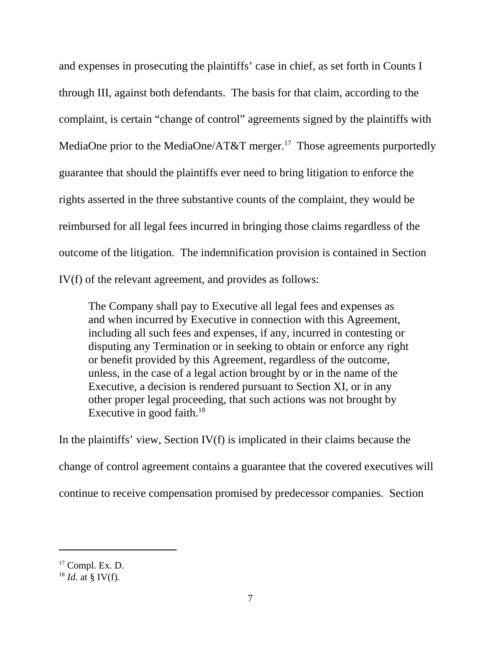and expenses in prosecuting the plaintiffs' case in chief, as set forth in Counts I through III, against both defendants. The basis for that claim, according to the complaint, is certain "change of control" agreements signed by the plaintiffs with MediaOne prior to the MediaOne/AT&T merger.<sup>17</sup> Those agreements purportedly guarantee that should the plaintiffs ever need to bring litigation to enforce the rights asserted in the three substantive counts of the complaint, they would be reimbursed for all legal fees incurred in bringing those claims regardless of the outcome of the litigation. The indemnification provision is contained in Section IV(f) of the relevant agreement, and provides as follows:

The Company shall pay to Executive all legal fees and expenses as and when incurred by Executive in connection with this Agreement, including all such fees and expenses, if any, incurred in contesting or disputing any Termination or in seeking to obtain or enforce any right or benefit provided by this Agreement, regardless of the outcome, unless, in the case of a legal action brought by or in the name of the Executive, a decision is rendered pursuant to Section XI, or in any other proper legal proceeding, that such actions was not brought by Executive in good faith. $18$ 

In the plaintiffs' view, Section IV(f) is implicated in their claims because the change of control agreement contains a guarantee that the covered executives will continue to receive compensation promised by predecessor companies. Section

 $17$  Compl. Ex. D.

 $^{18}$  *Id.* at § IV(f).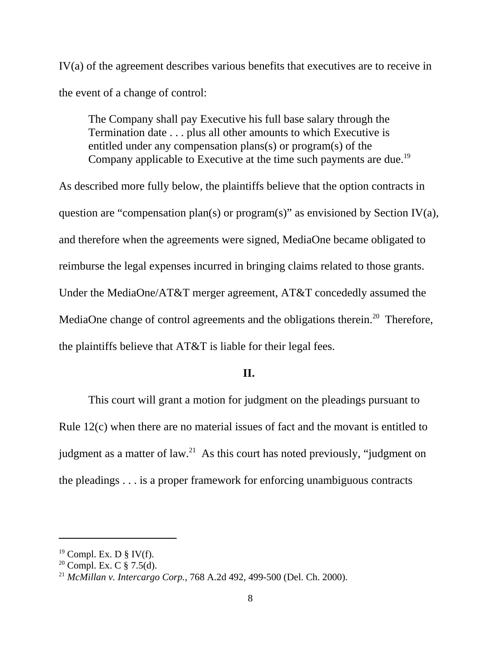IV(a) of the agreement describes various benefits that executives are to receive in the event of a change of control:

The Company shall pay Executive his full base salary through the Termination date . . . plus all other amounts to which Executive is entitled under any compensation plans(s) or program(s) of the Company applicable to Executive at the time such payments are due.<sup>19</sup>

As described more fully below, the plaintiffs believe that the option contracts in question are "compensation plan(s) or program(s)" as envisioned by Section IV(a), and therefore when the agreements were signed, MediaOne became obligated to reimburse the legal expenses incurred in bringing claims related to those grants. Under the MediaOne/AT&T merger agreement, AT&T concededly assumed the MediaOne change of control agreements and the obligations therein.<sup>20</sup> Therefore, the plaintiffs believe that AT&T is liable for their legal fees.

## **II.**

This court will grant a motion for judgment on the pleadings pursuant to Rule 12(c) when there are no material issues of fact and the movant is entitled to judgment as a matter of  $law<sup>21</sup>$ . As this court has noted previously, "judgment on the pleadings . . . is a proper framework for enforcing unambiguous contracts

 $19$  Compl. Ex. D § IV(f).

<sup>&</sup>lt;sup>20</sup> Compl. Ex. C  $\S 7.5(d)$ .

<sup>21</sup> *McMillan v. Intercargo Corp.*, 768 A.2d 492, 499-500 (Del. Ch. 2000).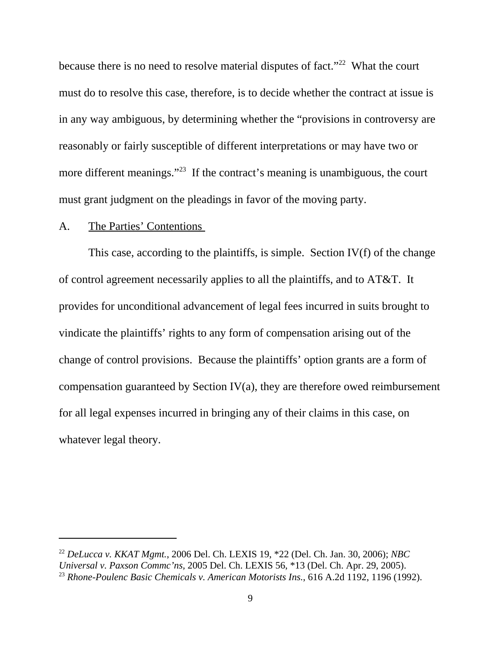because there is no need to resolve material disputes of fact."<sup>22</sup> What the court must do to resolve this case, therefore, is to decide whether the contract at issue is in any way ambiguous, by determining whether the "provisions in controversy are reasonably or fairly susceptible of different interpretations or may have two or more different meanings."<sup>23</sup> If the contract's meaning is unambiguous, the court must grant judgment on the pleadings in favor of the moving party.

## A. The Parties' Contentions

 This case, according to the plaintiffs, is simple. Section IV(f) of the change of control agreement necessarily applies to all the plaintiffs, and to AT&T. It provides for unconditional advancement of legal fees incurred in suits brought to vindicate the plaintiffs' rights to any form of compensation arising out of the change of control provisions. Because the plaintiffs' option grants are a form of compensation guaranteed by Section IV(a), they are therefore owed reimbursement for all legal expenses incurred in bringing any of their claims in this case, on whatever legal theory.

<sup>22</sup> *DeLucca v. KKAT Mgmt.*, 2006 Del. Ch. LEXIS 19, \*22 (Del. Ch. Jan. 30, 2006); *NBC Universal v. Paxson Commc'ns,* 2005 Del. Ch. LEXIS 56, \*13 (Del. Ch. Apr. 29, 2005). <sup>23</sup> *Rhone-Poulenc Basic Chemicals v. American Motorists Ins.*, 616 A.2d 1192, 1196 (1992).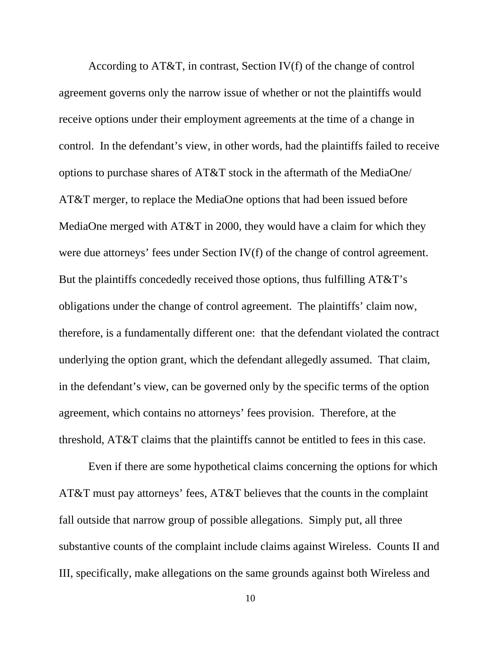According to AT&T, in contrast, Section IV(f) of the change of control agreement governs only the narrow issue of whether or not the plaintiffs would receive options under their employment agreements at the time of a change in control. In the defendant's view, in other words, had the plaintiffs failed to receive options to purchase shares of AT&T stock in the aftermath of the MediaOne/ AT&T merger, to replace the MediaOne options that had been issued before MediaOne merged with AT&T in 2000, they would have a claim for which they were due attorneys' fees under Section IV(f) of the change of control agreement. But the plaintiffs concededly received those options, thus fulfilling AT&T's obligations under the change of control agreement. The plaintiffs' claim now, therefore, is a fundamentally different one: that the defendant violated the contract underlying the option grant, which the defendant allegedly assumed. That claim, in the defendant's view, can be governed only by the specific terms of the option agreement, which contains no attorneys' fees provision. Therefore, at the threshold, AT&T claims that the plaintiffs cannot be entitled to fees in this case.

Even if there are some hypothetical claims concerning the options for which AT&T must pay attorneys' fees, AT&T believes that the counts in the complaint fall outside that narrow group of possible allegations. Simply put, all three substantive counts of the complaint include claims against Wireless. Counts II and III, specifically, make allegations on the same grounds against both Wireless and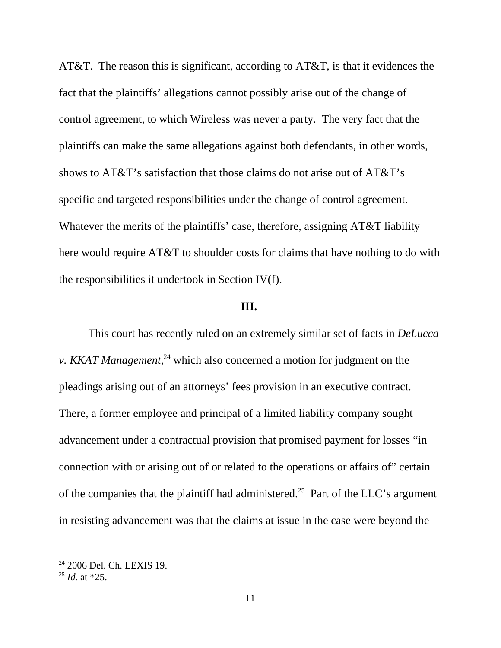AT&T. The reason this is significant, according to AT&T, is that it evidences the fact that the plaintiffs' allegations cannot possibly arise out of the change of control agreement, to which Wireless was never a party. The very fact that the plaintiffs can make the same allegations against both defendants, in other words, shows to AT&T's satisfaction that those claims do not arise out of AT&T's specific and targeted responsibilities under the change of control agreement. Whatever the merits of the plaintiffs' case, therefore, assigning AT&T liability here would require AT&T to shoulder costs for claims that have nothing to do with the responsibilities it undertook in Section IV(f).

## **III.**

This court has recently ruled on an extremely similar set of facts in *DeLucca v. KKAT Management*,<sup>24</sup> which also concerned a motion for judgment on the pleadings arising out of an attorneys' fees provision in an executive contract. There, a former employee and principal of a limited liability company sought advancement under a contractual provision that promised payment for losses "in connection with or arising out of or related to the operations or affairs of" certain of the companies that the plaintiff had administered.<sup>25</sup> Part of the LLC's argument in resisting advancement was that the claims at issue in the case were beyond the

<sup>&</sup>lt;sup>24</sup> 2006 Del. Ch. LEXIS 19.

<sup>25</sup> *Id.* at \*25.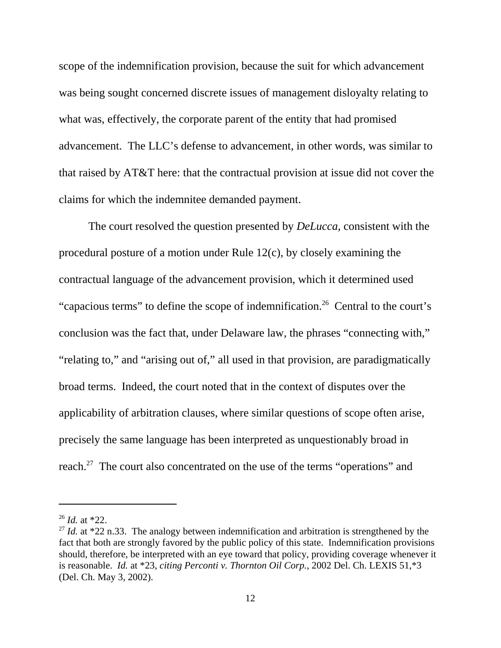scope of the indemnification provision, because the suit for which advancement was being sought concerned discrete issues of management disloyalty relating to what was, effectively, the corporate parent of the entity that had promised advancement. The LLC's defense to advancement, in other words, was similar to that raised by AT&T here: that the contractual provision at issue did not cover the claims for which the indemnitee demanded payment.

The court resolved the question presented by *DeLucca*, consistent with the procedural posture of a motion under Rule 12(c), by closely examining the contractual language of the advancement provision, which it determined used "capacious terms" to define the scope of indemnification.<sup>26</sup> Central to the court's conclusion was the fact that, under Delaware law, the phrases "connecting with," "relating to," and "arising out of," all used in that provision, are paradigmatically broad terms. Indeed, the court noted that in the context of disputes over the applicability of arbitration clauses, where similar questions of scope often arise, precisely the same language has been interpreted as unquestionably broad in reach.<sup>27</sup> The court also concentrated on the use of the terms "operations" and

<sup>26</sup> *Id.* at \*22.

<sup>&</sup>lt;sup>27</sup> *Id.* at \*22 n.33. The analogy between indemnification and arbitration is strengthened by the fact that both are strongly favored by the public policy of this state. Indemnification provisions should, therefore, be interpreted with an eye toward that policy, providing coverage whenever it is reasonable. *Id.* at \*23, *citing Perconti v. Thornton Oil Corp.*, 2002 Del. Ch. LEXIS 51,\*3 (Del. Ch. May 3, 2002).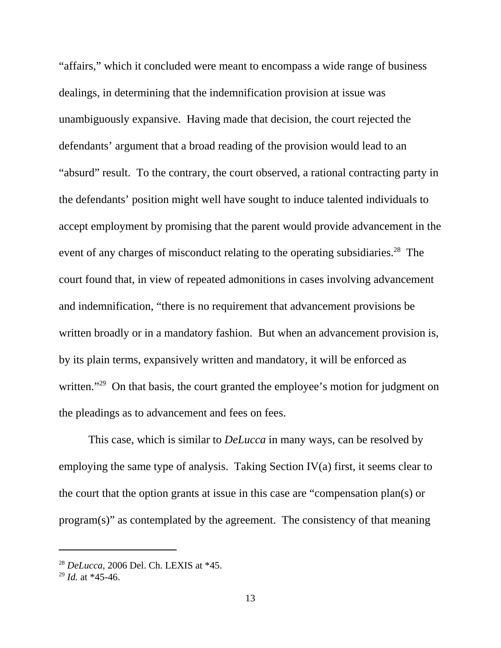"affairs," which it concluded were meant to encompass a wide range of business dealings, in determining that the indemnification provision at issue was unambiguously expansive. Having made that decision, the court rejected the defendants' argument that a broad reading of the provision would lead to an "absurd" result. To the contrary, the court observed, a rational contracting party in the defendants' position might well have sought to induce talented individuals to accept employment by promising that the parent would provide advancement in the event of any charges of misconduct relating to the operating subsidiaries.<sup>28</sup> The court found that, in view of repeated admonitions in cases involving advancement and indemnification, "there is no requirement that advancement provisions be written broadly or in a mandatory fashion. But when an advancement provision is, by its plain terms, expansively written and mandatory, it will be enforced as written."<sup>29</sup> On that basis, the court granted the employee's motion for judgment on the pleadings as to advancement and fees on fees.

This case, which is similar to *DeLucca* in many ways, can be resolved by employing the same type of analysis. Taking Section IV(a) first, it seems clear to the court that the option grants at issue in this case are "compensation plan(s) or program(s)" as contemplated by the agreement. The consistency of that meaning

<sup>28</sup> *DeLucca*, 2006 Del. Ch. LEXIS at \*45.

<sup>29</sup> *Id.* at \*45-46.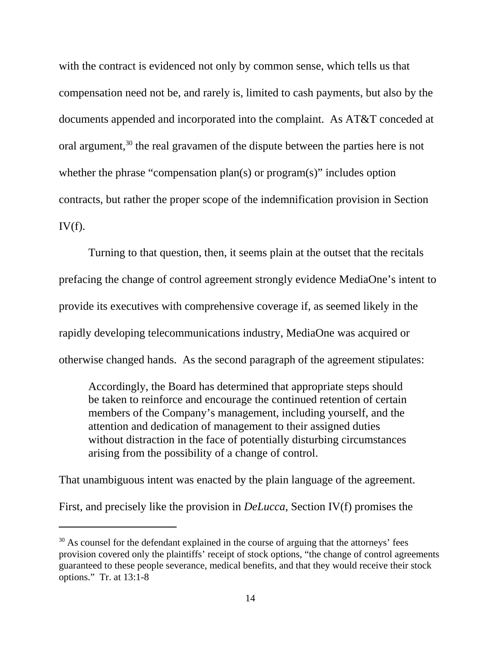with the contract is evidenced not only by common sense, which tells us that compensation need not be, and rarely is, limited to cash payments, but also by the documents appended and incorporated into the complaint. As AT&T conceded at oral argument,<sup>30</sup> the real gravamen of the dispute between the parties here is not whether the phrase "compensation plan(s) or program(s)" includes option contracts, but rather the proper scope of the indemnification provision in Section  $IV(f)$ .

Turning to that question, then, it seems plain at the outset that the recitals prefacing the change of control agreement strongly evidence MediaOne's intent to provide its executives with comprehensive coverage if, as seemed likely in the rapidly developing telecommunications industry, MediaOne was acquired or otherwise changed hands. As the second paragraph of the agreement stipulates:

Accordingly, the Board has determined that appropriate steps should be taken to reinforce and encourage the continued retention of certain members of the Company's management, including yourself, and the attention and dedication of management to their assigned duties without distraction in the face of potentially disturbing circumstances arising from the possibility of a change of control.

That unambiguous intent was enacted by the plain language of the agreement.

First, and precisely like the provision in *DeLucca*, Section IV(f) promises the

 $30$  As counsel for the defendant explained in the course of arguing that the attorneys' fees provision covered only the plaintiffs' receipt of stock options, "the change of control agreements guaranteed to these people severance, medical benefits, and that they would receive their stock options." Tr. at 13:1-8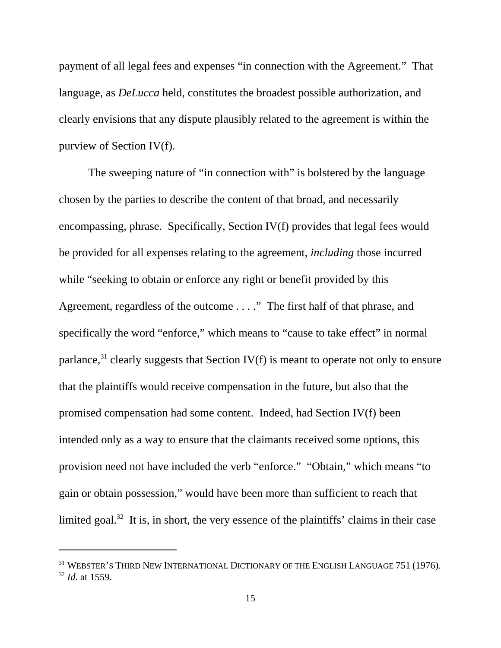payment of all legal fees and expenses "in connection with the Agreement." That language, as *DeLucca* held, constitutes the broadest possible authorization, and clearly envisions that any dispute plausibly related to the agreement is within the purview of Section IV(f).

The sweeping nature of "in connection with" is bolstered by the language chosen by the parties to describe the content of that broad, and necessarily encompassing, phrase. Specifically, Section IV(f) provides that legal fees would be provided for all expenses relating to the agreement, *including* those incurred while "seeking to obtain or enforce any right or benefit provided by this Agreement, regardless of the outcome . . . ." The first half of that phrase, and specifically the word "enforce," which means to "cause to take effect" in normal parlance,  $31$  clearly suggests that Section IV(f) is meant to operate not only to ensure that the plaintiffs would receive compensation in the future, but also that the promised compensation had some content. Indeed, had Section IV(f) been intended only as a way to ensure that the claimants received some options, this provision need not have included the verb "enforce." "Obtain," which means "to gain or obtain possession," would have been more than sufficient to reach that limited goal.<sup>32</sup> It is, in short, the very essence of the plaintiffs' claims in their case

<sup>&</sup>lt;sup>31</sup> WEBSTER'S THIRD NEW INTERNATIONAL DICTIONARY OF THE ENGLISH LANGUAGE 751 (1976). <sup>32</sup> *Id.* at 1559.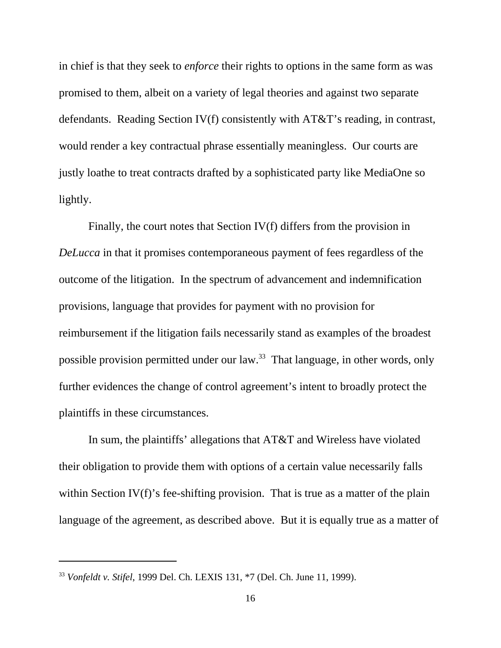in chief is that they seek to *enforce* their rights to options in the same form as was promised to them, albeit on a variety of legal theories and against two separate defendants. Reading Section IV(f) consistently with AT&T's reading, in contrast, would render a key contractual phrase essentially meaningless. Our courts are justly loathe to treat contracts drafted by a sophisticated party like MediaOne so lightly.

Finally, the court notes that Section IV(f) differs from the provision in *DeLucca* in that it promises contemporaneous payment of fees regardless of the outcome of the litigation. In the spectrum of advancement and indemnification provisions, language that provides for payment with no provision for reimbursement if the litigation fails necessarily stand as examples of the broadest possible provision permitted under our law.33 That language, in other words, only further evidences the change of control agreement's intent to broadly protect the plaintiffs in these circumstances.

In sum, the plaintiffs' allegations that AT&T and Wireless have violated their obligation to provide them with options of a certain value necessarily falls within Section IV(f)'s fee-shifting provision. That is true as a matter of the plain language of the agreement, as described above. But it is equally true as a matter of

<sup>33</sup> *Vonfeldt v. Stifel*, 1999 Del. Ch. LEXIS 131, \*7 (Del. Ch. June 11, 1999).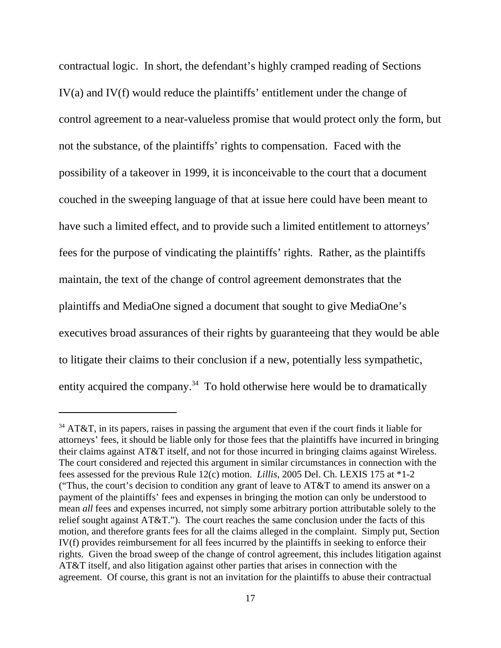contractual logic. In short, the defendant's highly cramped reading of Sections IV(a) and IV(f) would reduce the plaintiffs' entitlement under the change of control agreement to a near-valueless promise that would protect only the form, but not the substance, of the plaintiffs' rights to compensation. Faced with the possibility of a takeover in 1999, it is inconceivable to the court that a document couched in the sweeping language of that at issue here could have been meant to have such a limited effect, and to provide such a limited entitlement to attorneys' fees for the purpose of vindicating the plaintiffs' rights. Rather, as the plaintiffs maintain, the text of the change of control agreement demonstrates that the plaintiffs and MediaOne signed a document that sought to give MediaOne's executives broad assurances of their rights by guaranteeing that they would be able to litigate their claims to their conclusion if a new, potentially less sympathetic, entity acquired the company.<sup>34</sup> To hold otherwise here would be to dramatically

 $34$  AT&T, in its papers, raises in passing the argument that even if the court finds it liable for attorneys' fees, it should be liable only for those fees that the plaintiffs have incurred in bringing their claims against AT&T itself, and not for those incurred in bringing claims against Wireless. The court considered and rejected this argument in similar circumstances in connection with the fees assessed for the previous Rule 12(c) motion. *Lillis*, 2005 Del. Ch. LEXIS 175 at \*1-2 ("Thus, the court's decision to condition any grant of leave to  $AT&T$  to amend its answer on a payment of the plaintiffs' fees and expenses in bringing the motion can only be understood to mean *all* fees and expenses incurred, not simply some arbitrary portion attributable solely to the relief sought against AT&T."). The court reaches the same conclusion under the facts of this motion, and therefore grants fees for all the claims alleged in the complaint. Simply put, Section IV(f) provides reimbursement for all fees incurred by the plaintiffs in seeking to enforce their rights. Given the broad sweep of the change of control agreement, this includes litigation against AT&T itself, and also litigation against other parties that arises in connection with the agreement. Of course, this grant is not an invitation for the plaintiffs to abuse their contractual